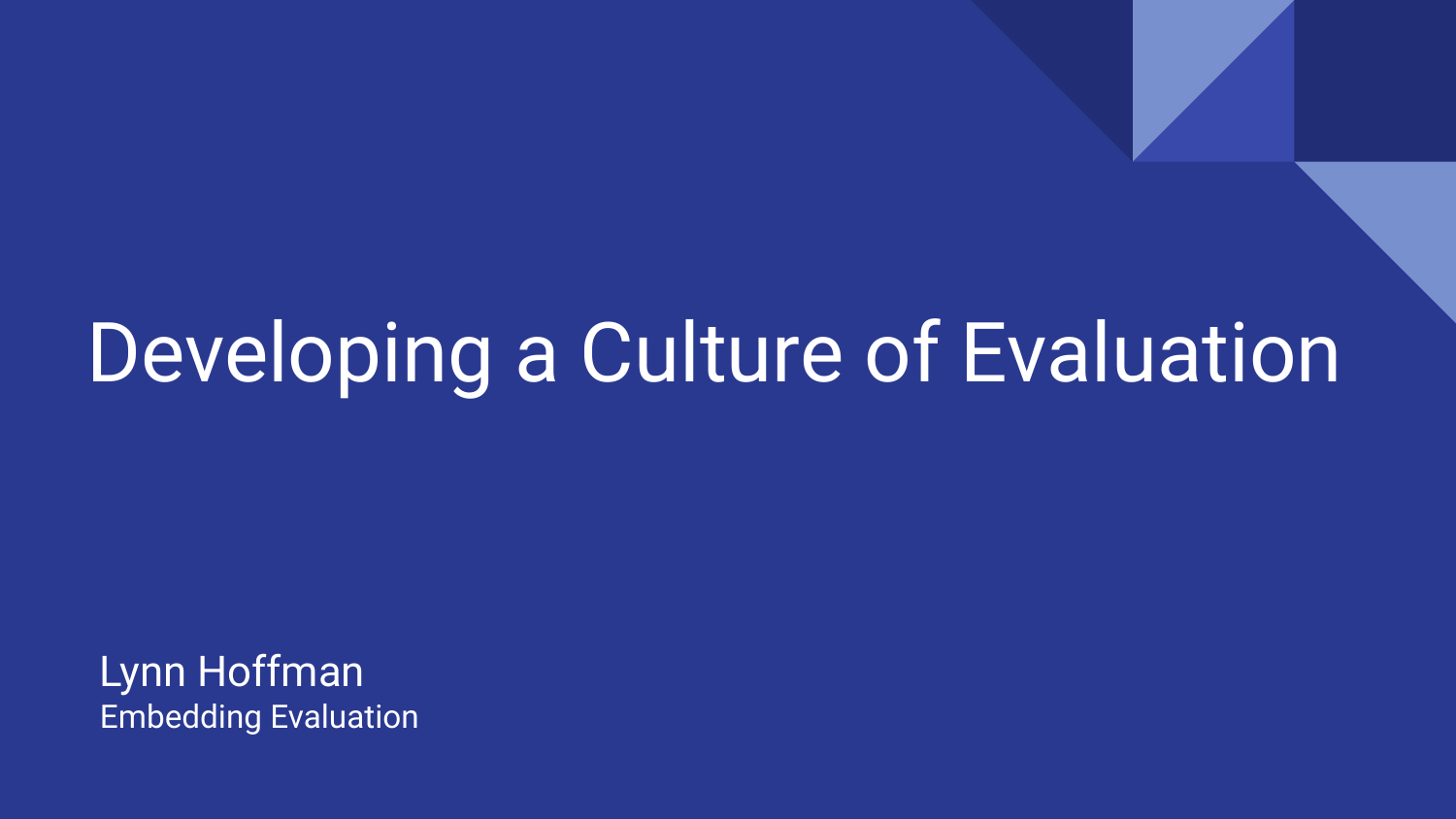### Developing a Culture of Evaluation

Lynn Hoffman Embedding Evaluation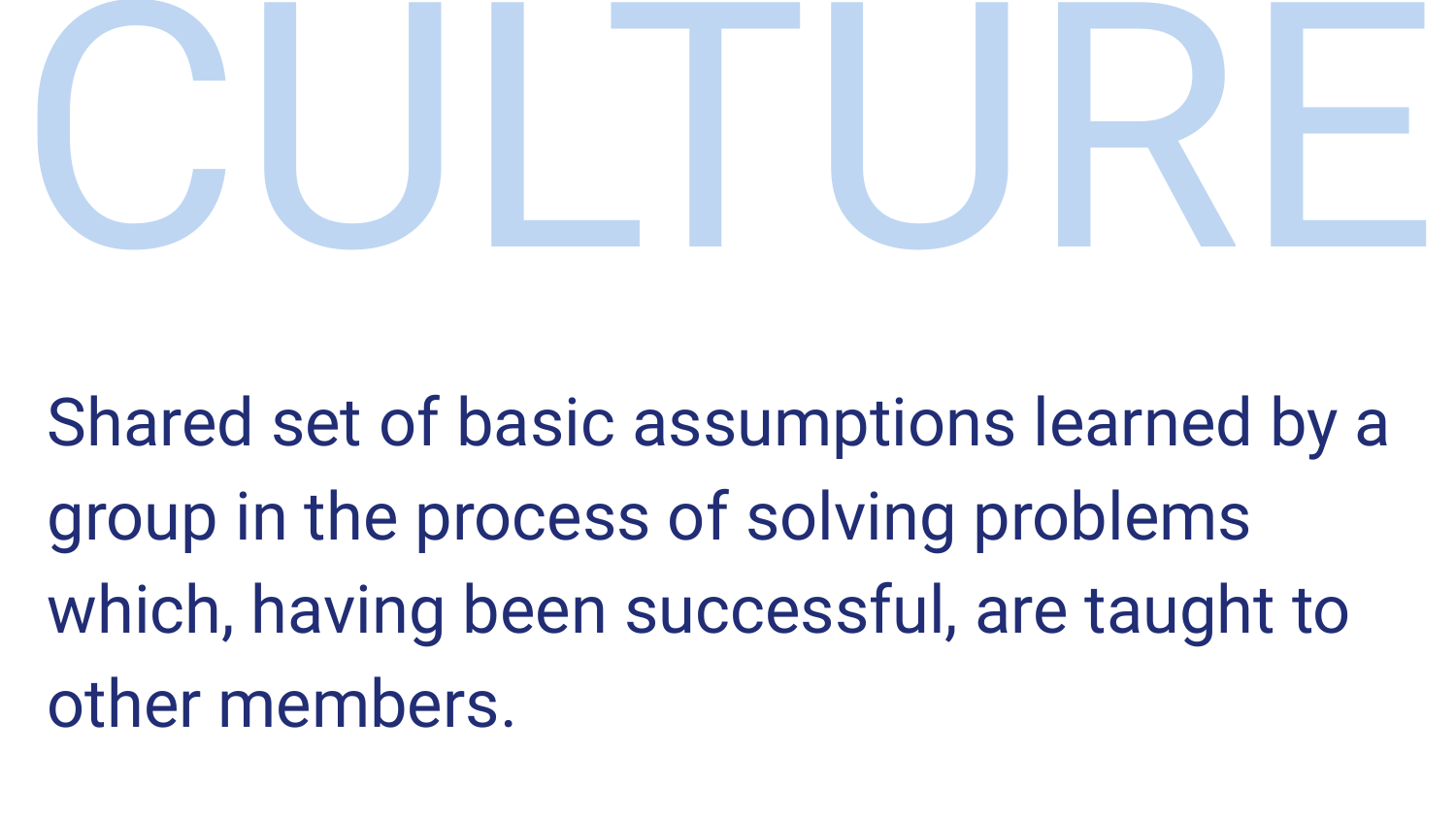

Shared set of basic assumptions learned by a group in the process of solving problems which, having been successful, are taught to other members.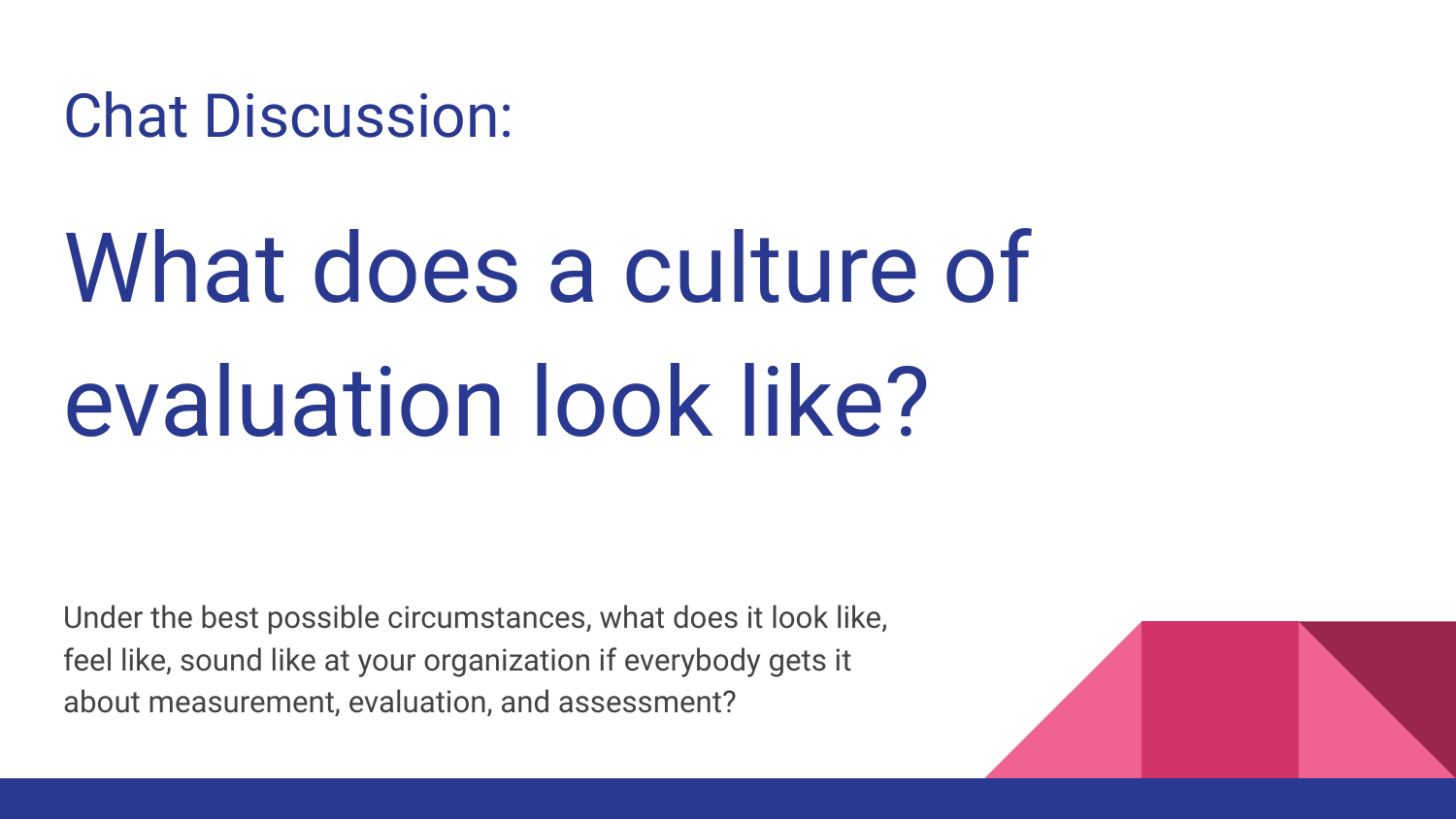Chat Discussion:

## What does a culture of evaluation look like?

Under the best possible circumstances, what does it look like, feel like, sound like at your organization if everybody gets it about measurement, evaluation, and assessment?

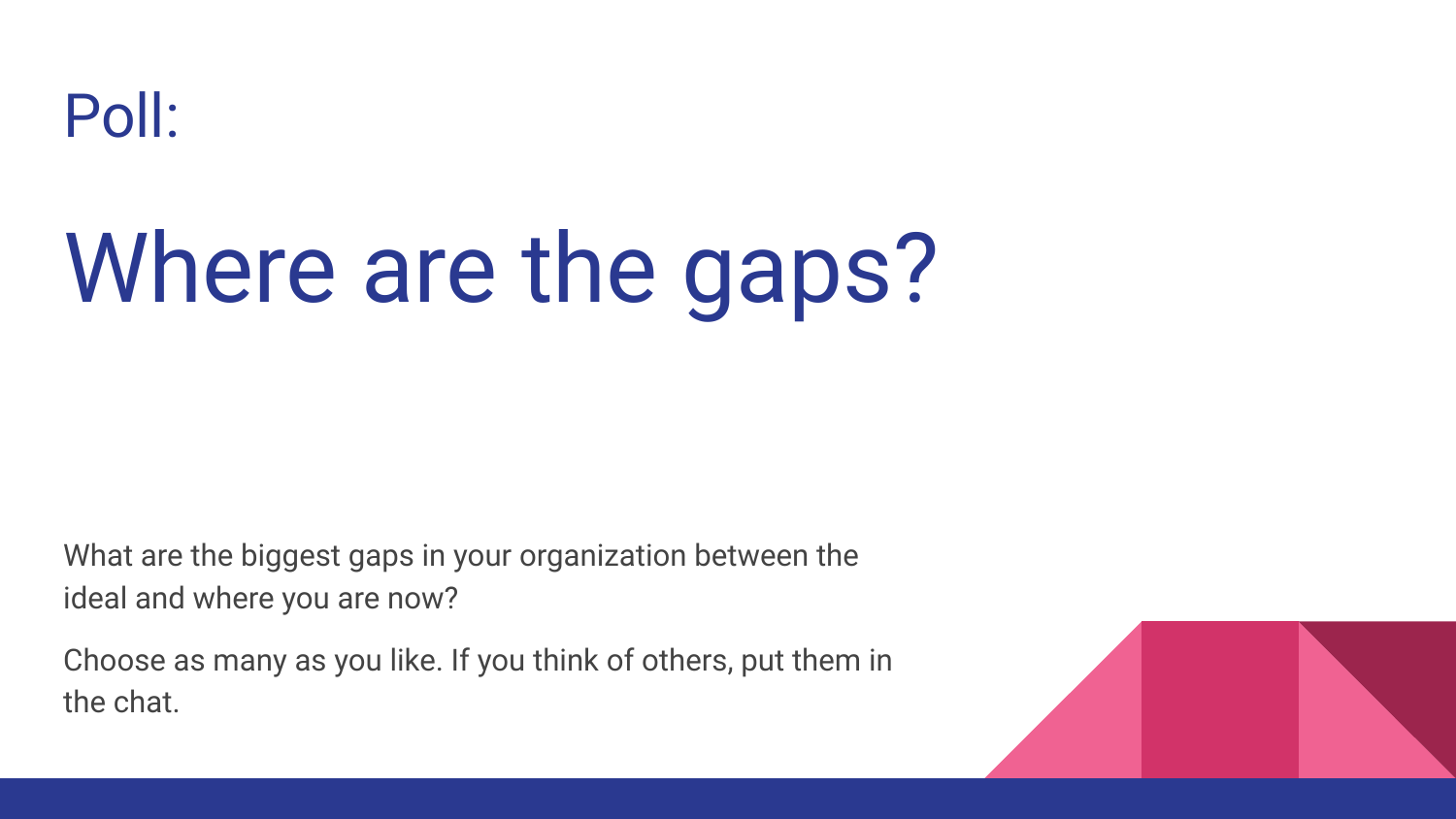

## Where are the gaps?

What are the biggest gaps in your organization between the ideal and where you are now?

Choose as many as you like. If you think of others, put them in the chat.

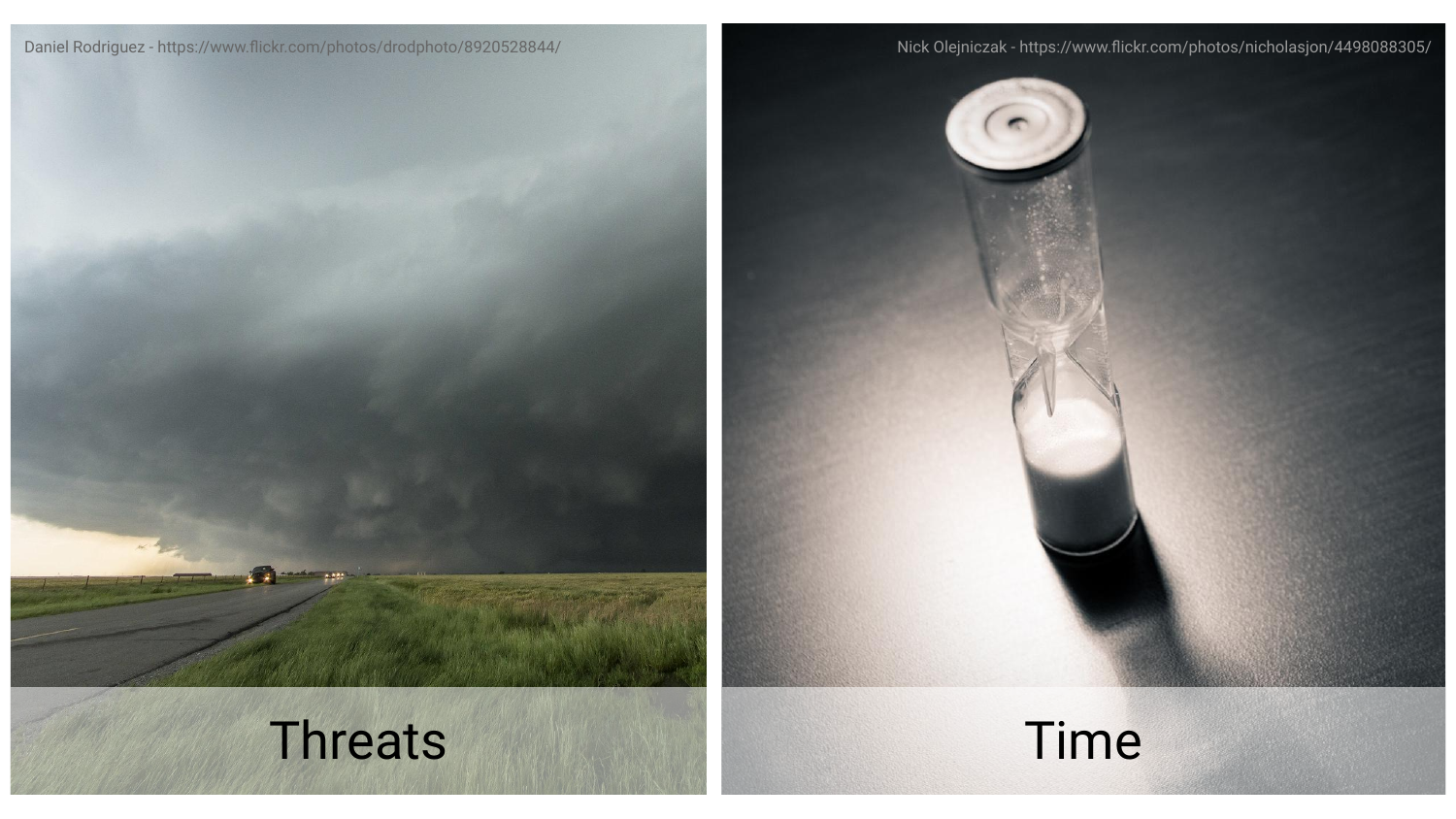#### Daniel Rodriguez - https://www.flickr.com/photos/drodphoto/8920528844/ Nick Olejniczak - https://www.flickr.com/photos/nicholasjon/4498088305/





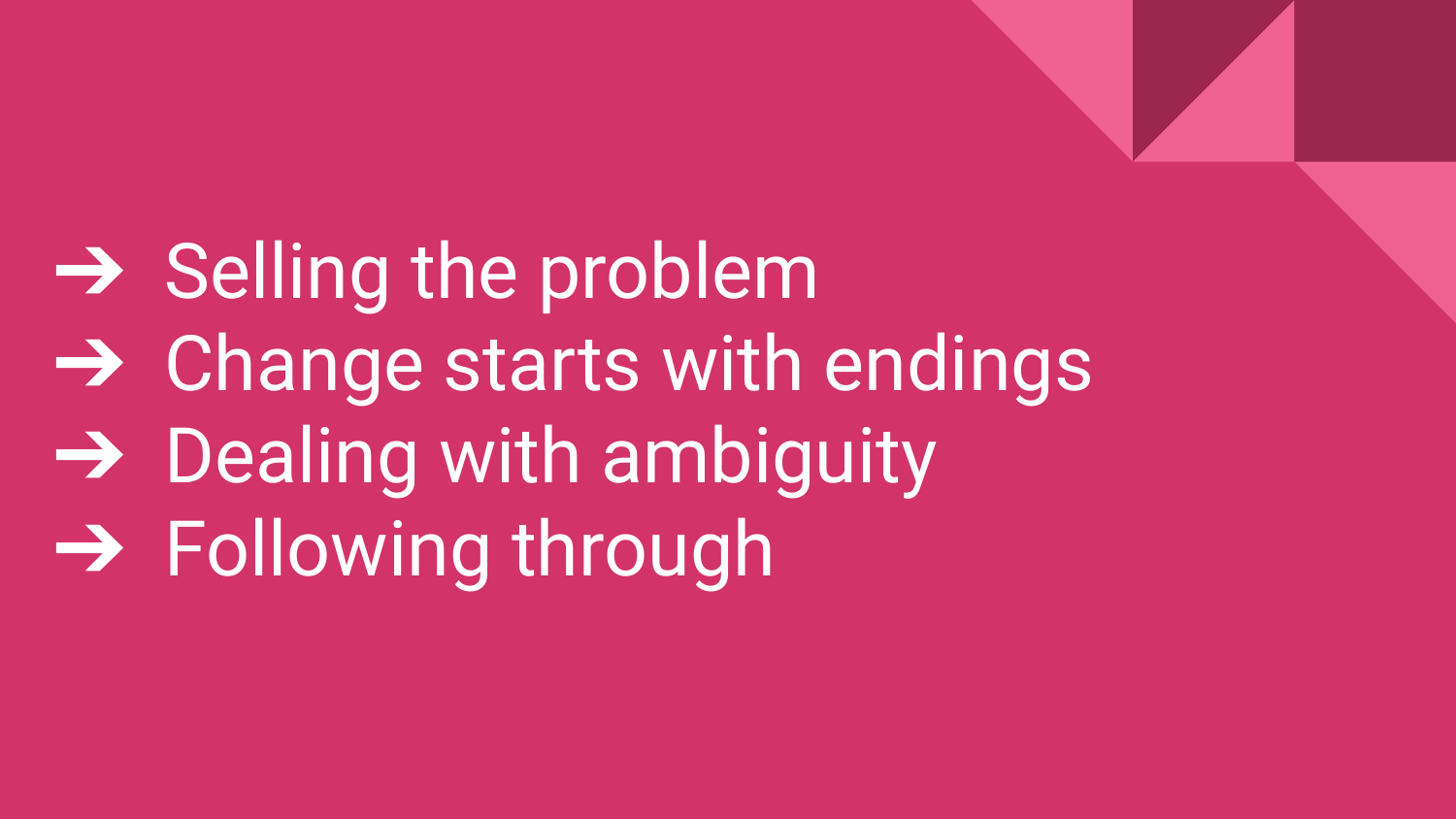**→ Selling the problem** ➔ Change starts with endings  $\rightarrow$  Dealing with ambiguity ➔ Following through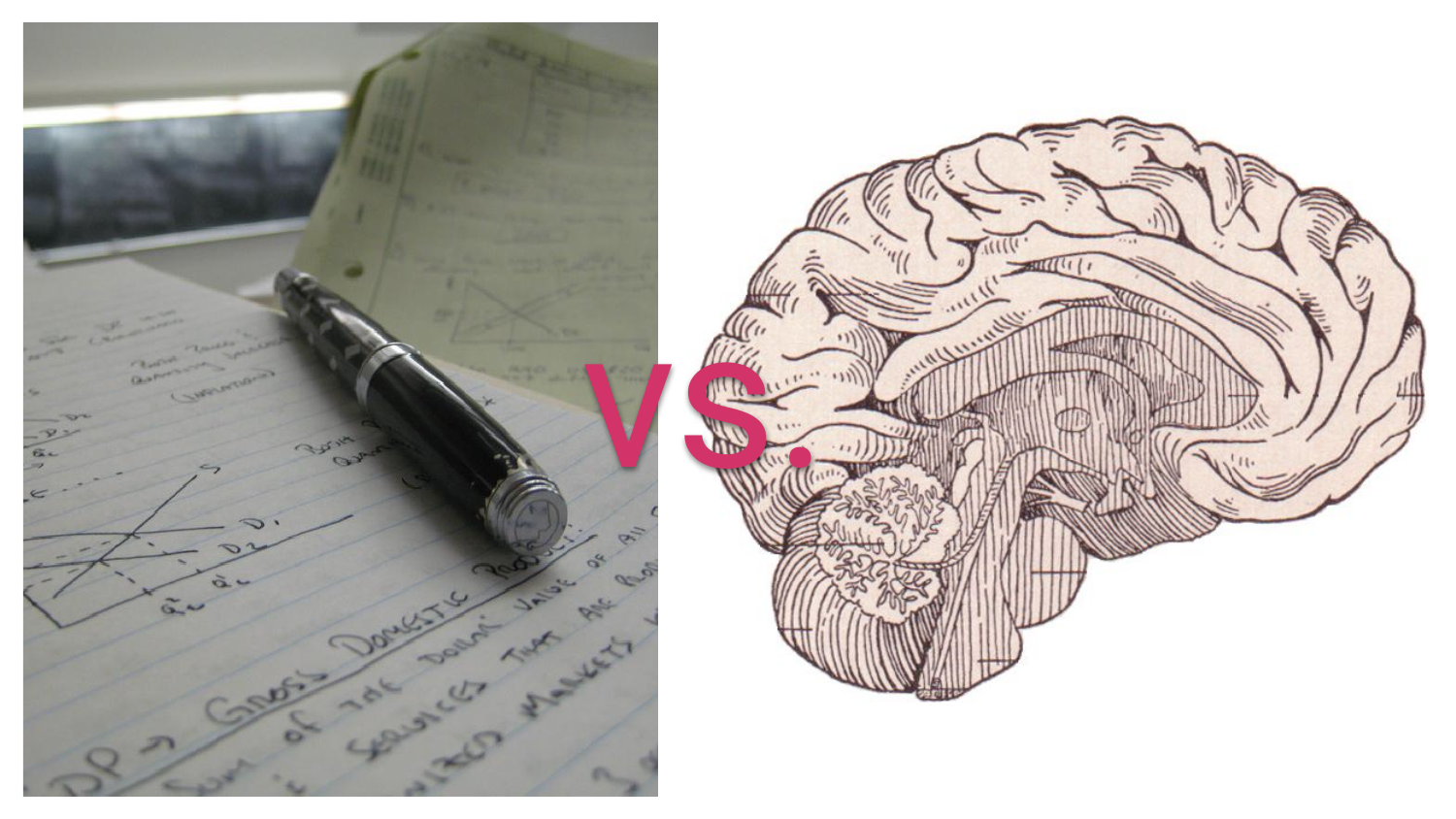

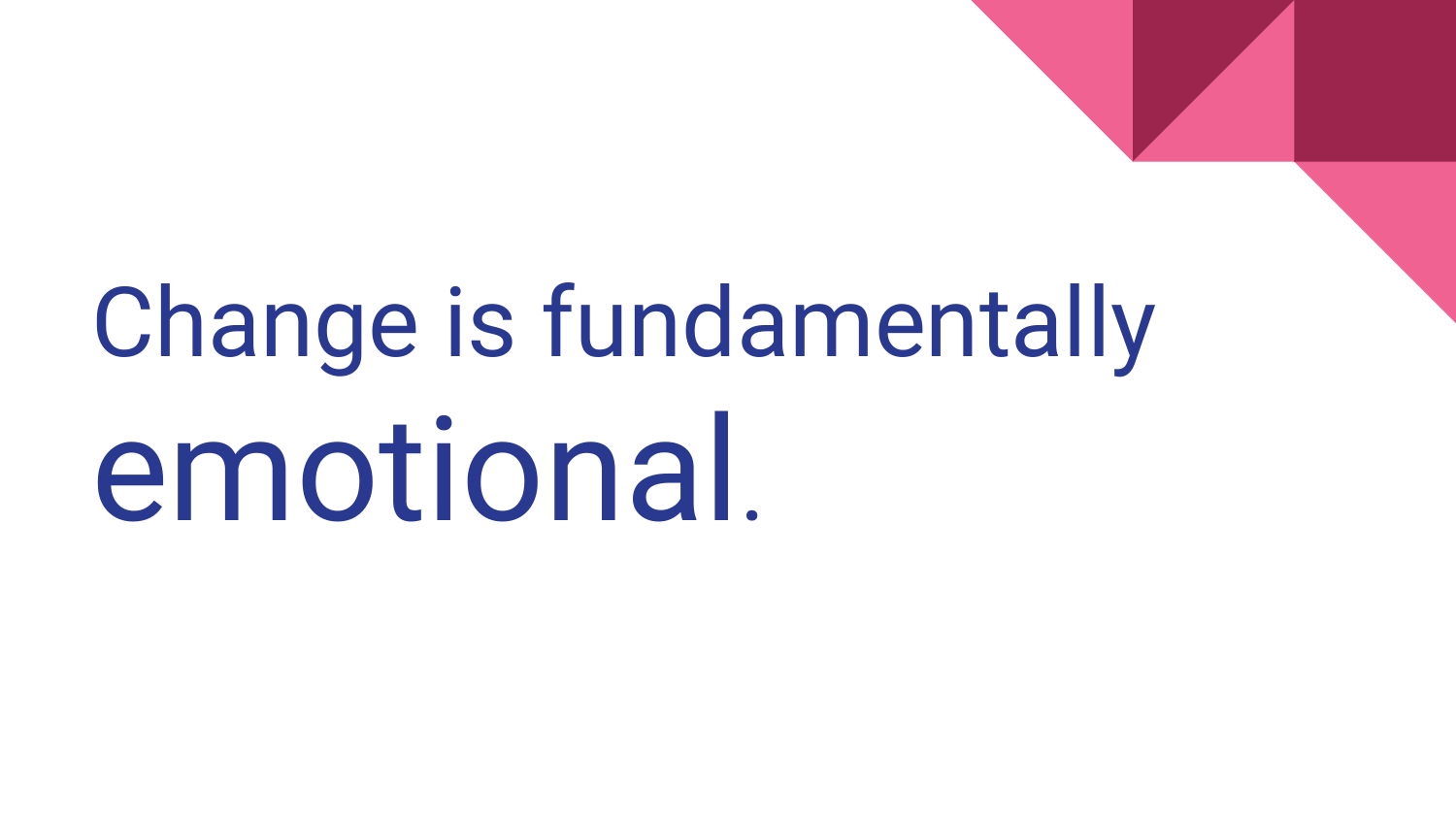# Change is fundamentally emotional.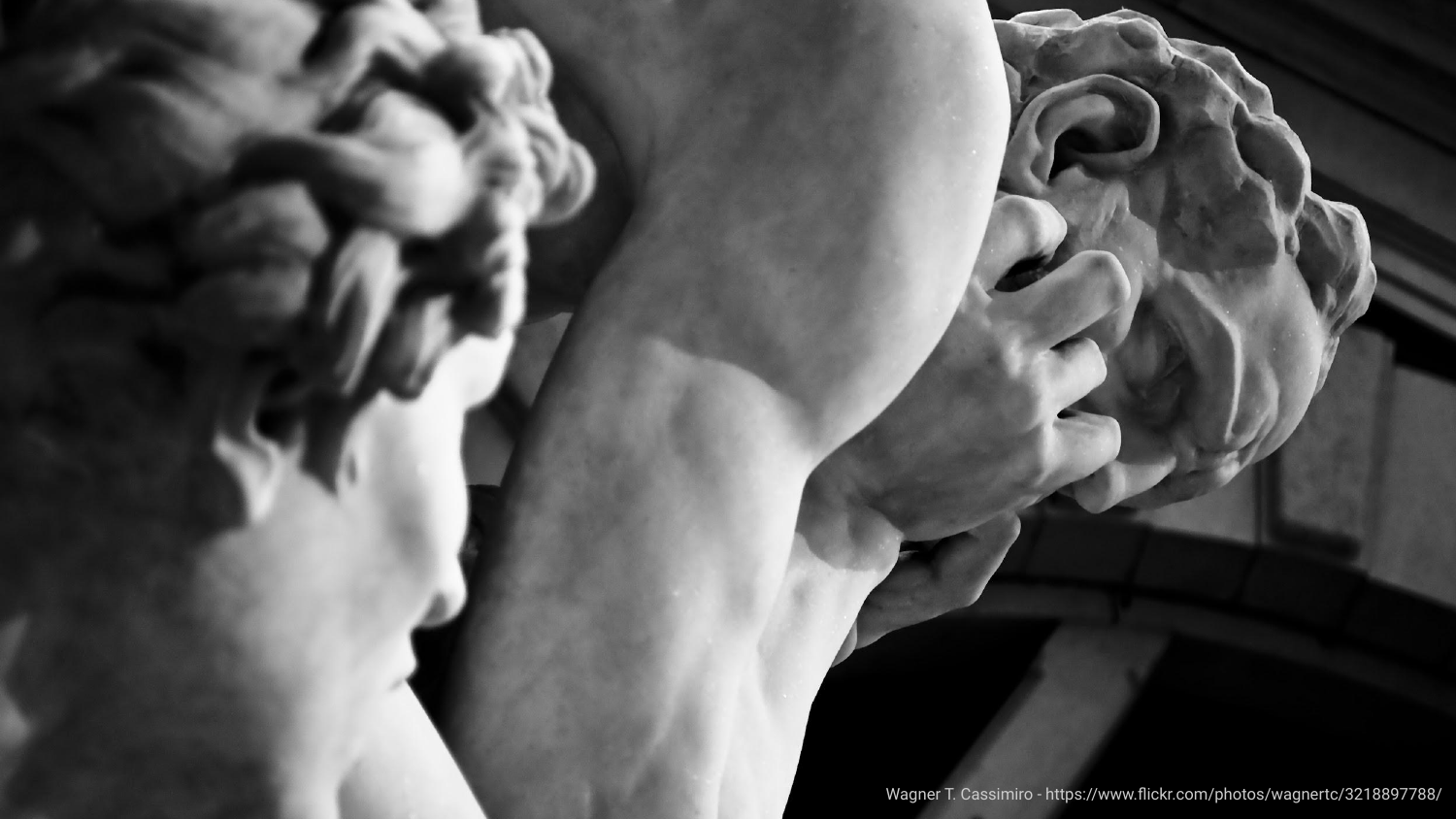Wagner T. Cassimiro - https://www.flickr.com/photos/wagnertc/3218897788/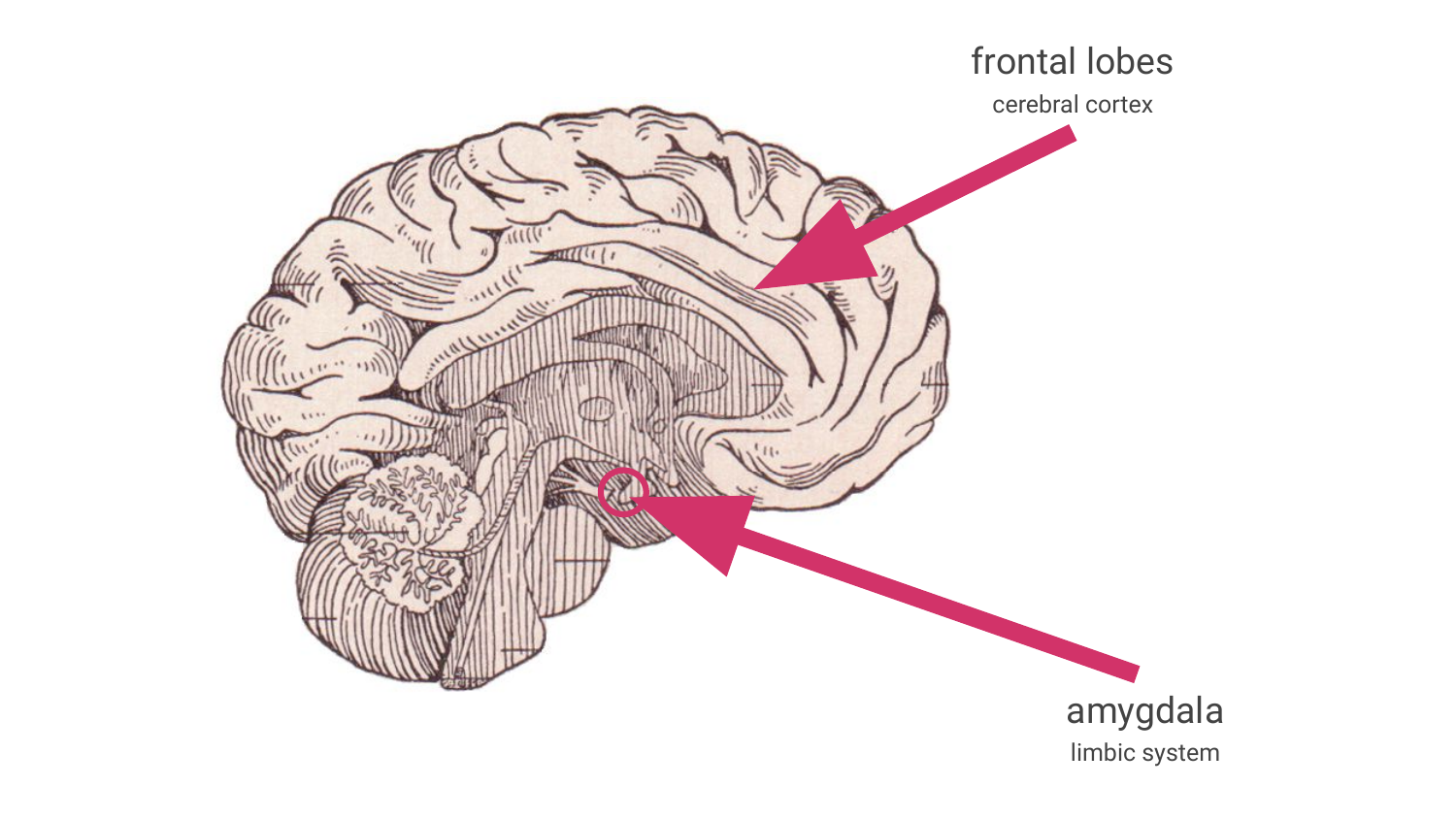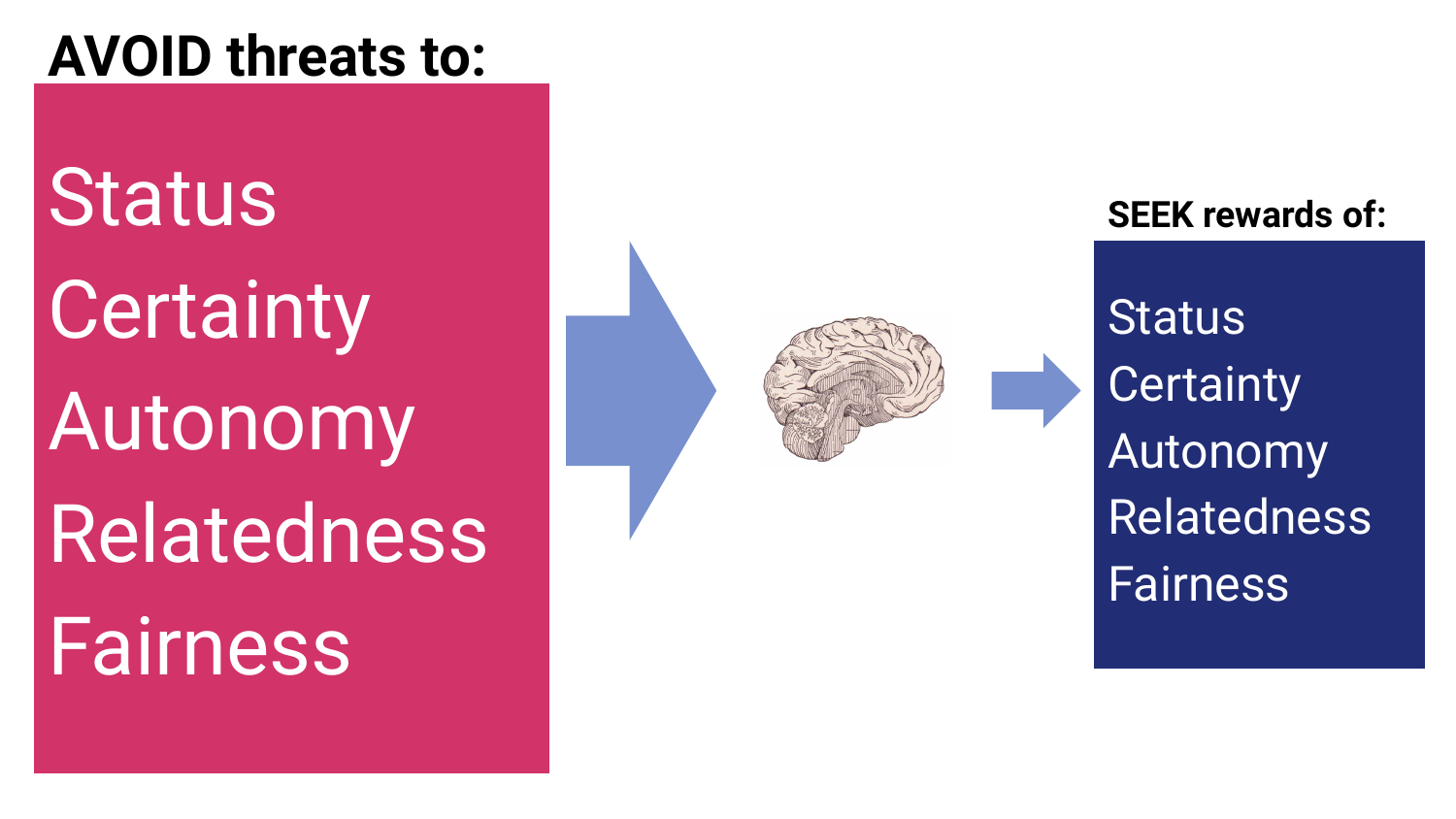### **AVOID threats to:**

**Status Certainty** Autonomy Relatedness **Fairness** 



#### **SEEK rewards of:**

**Status Certainty** Autonomy Relatedness Fairness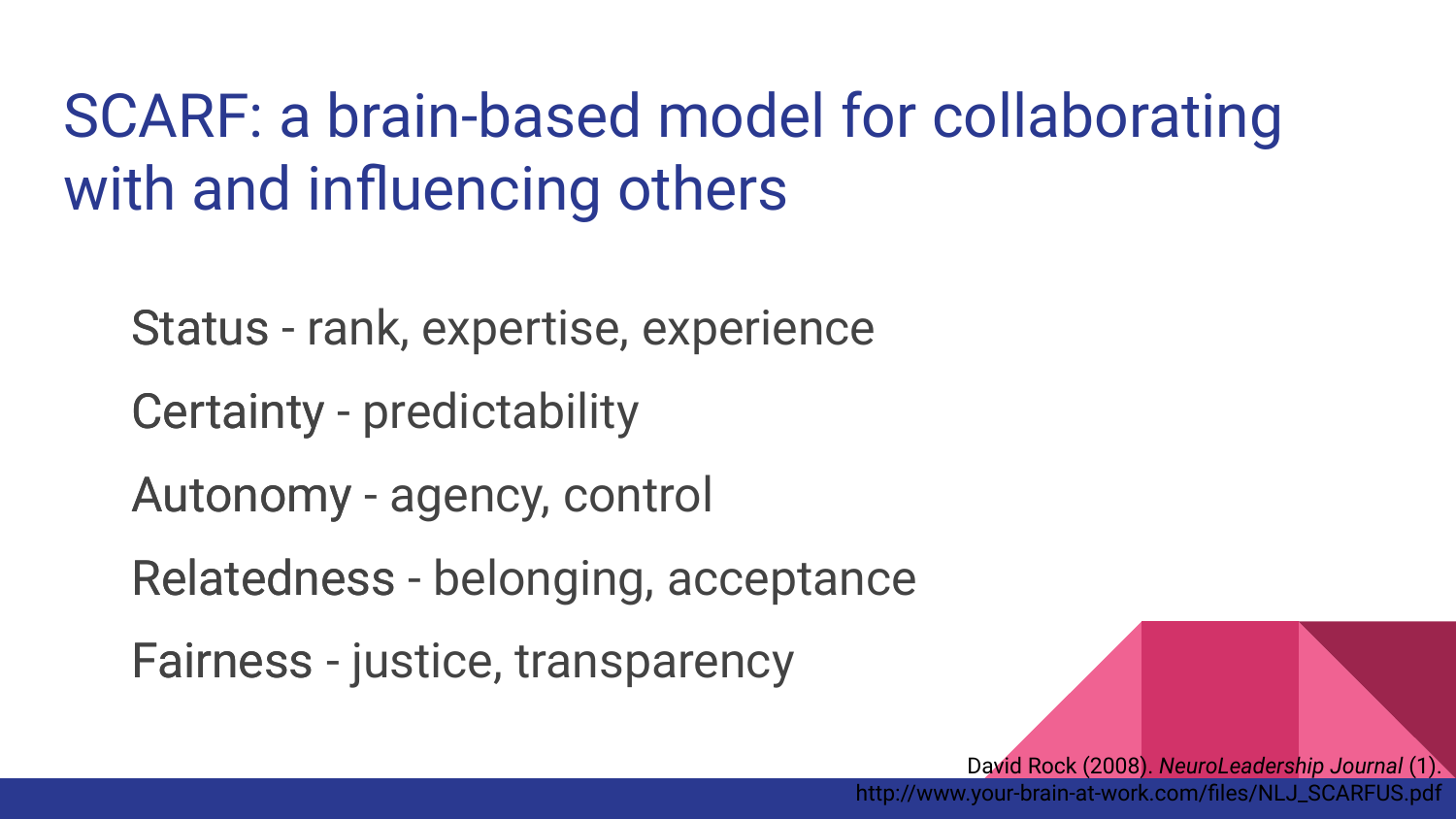### SCARF: a brain-based model for collaborating with and influencing others

Status - rank, expertise, experience Status

Certainty - predictability Certainty

Autonomy - agency, control Autonomy

Relatedness - belonging, acceptance Relatedness

Fairness - justice, transparency Fairness

David Rock (2008). *NeuroLeadership Journal* (1). http://www.your-brain-at-work.com/files/NLJ\_SCARFUS.pdf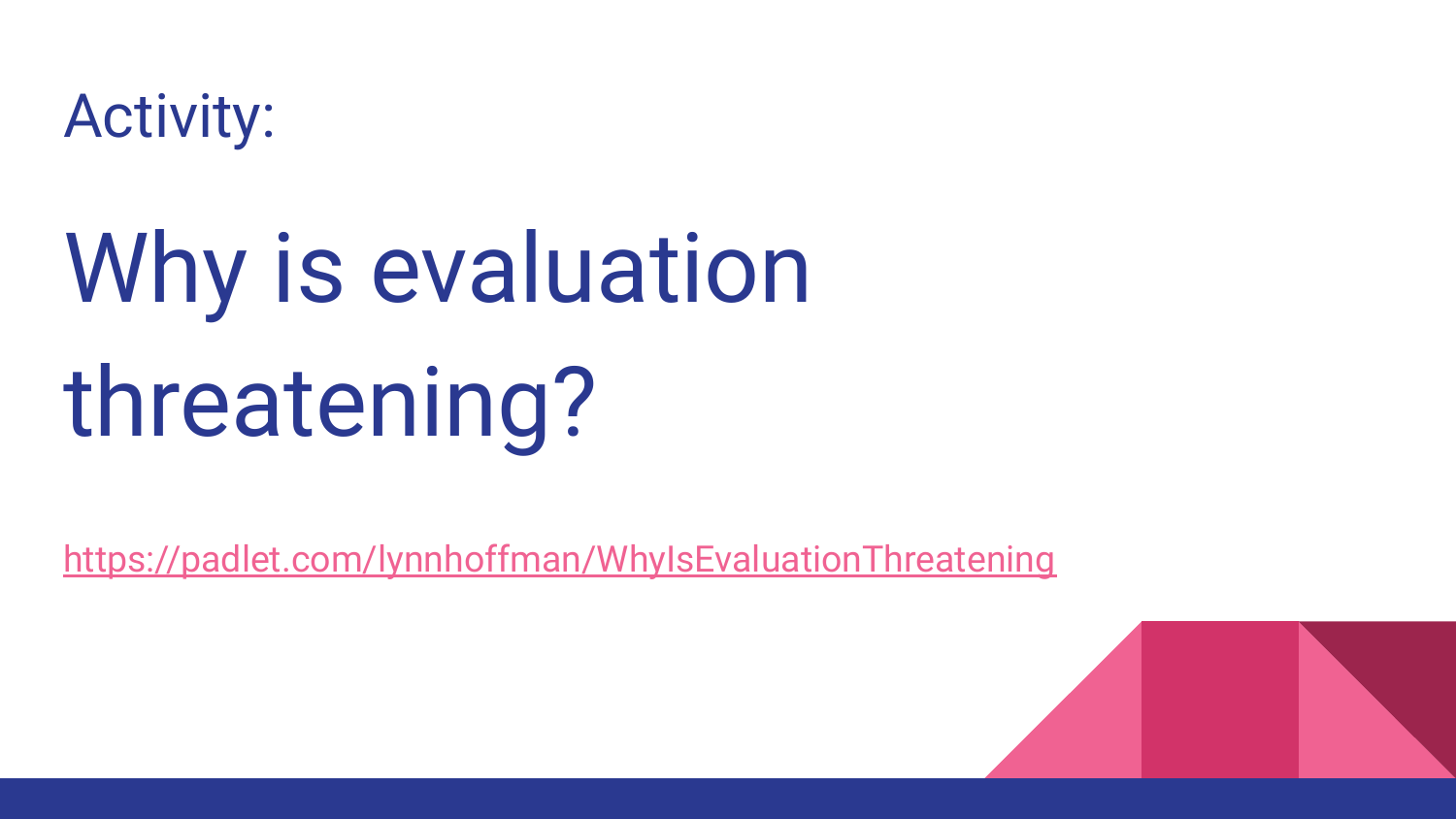

## Why is evaluation threatening?

[https://padlet.com/lynnhoffman/WhyIsEvaluationThreatening](https://bloominglibraries.com/WhyIsEvaluationThreatening)

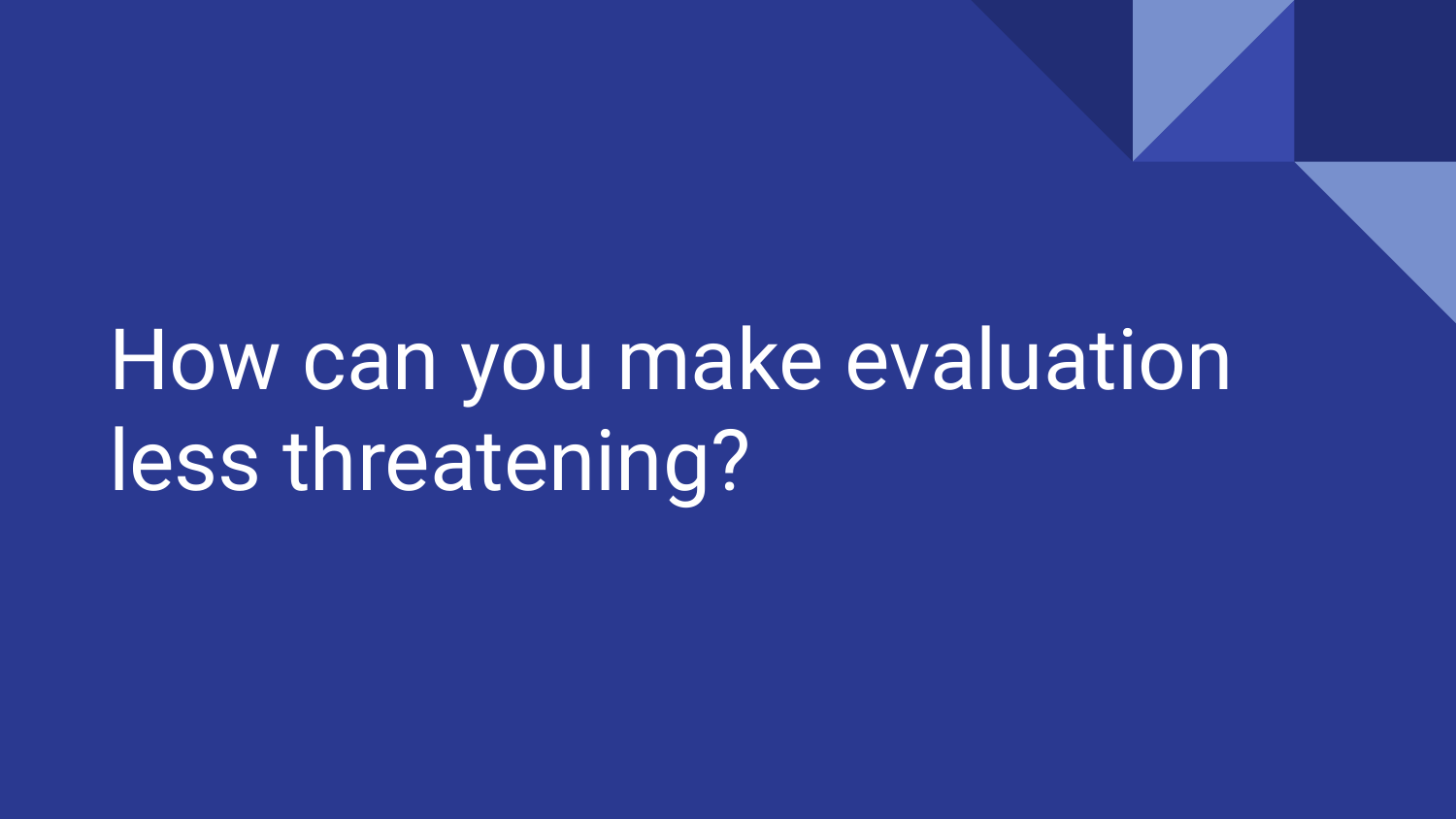## How can you make evaluation less threatening?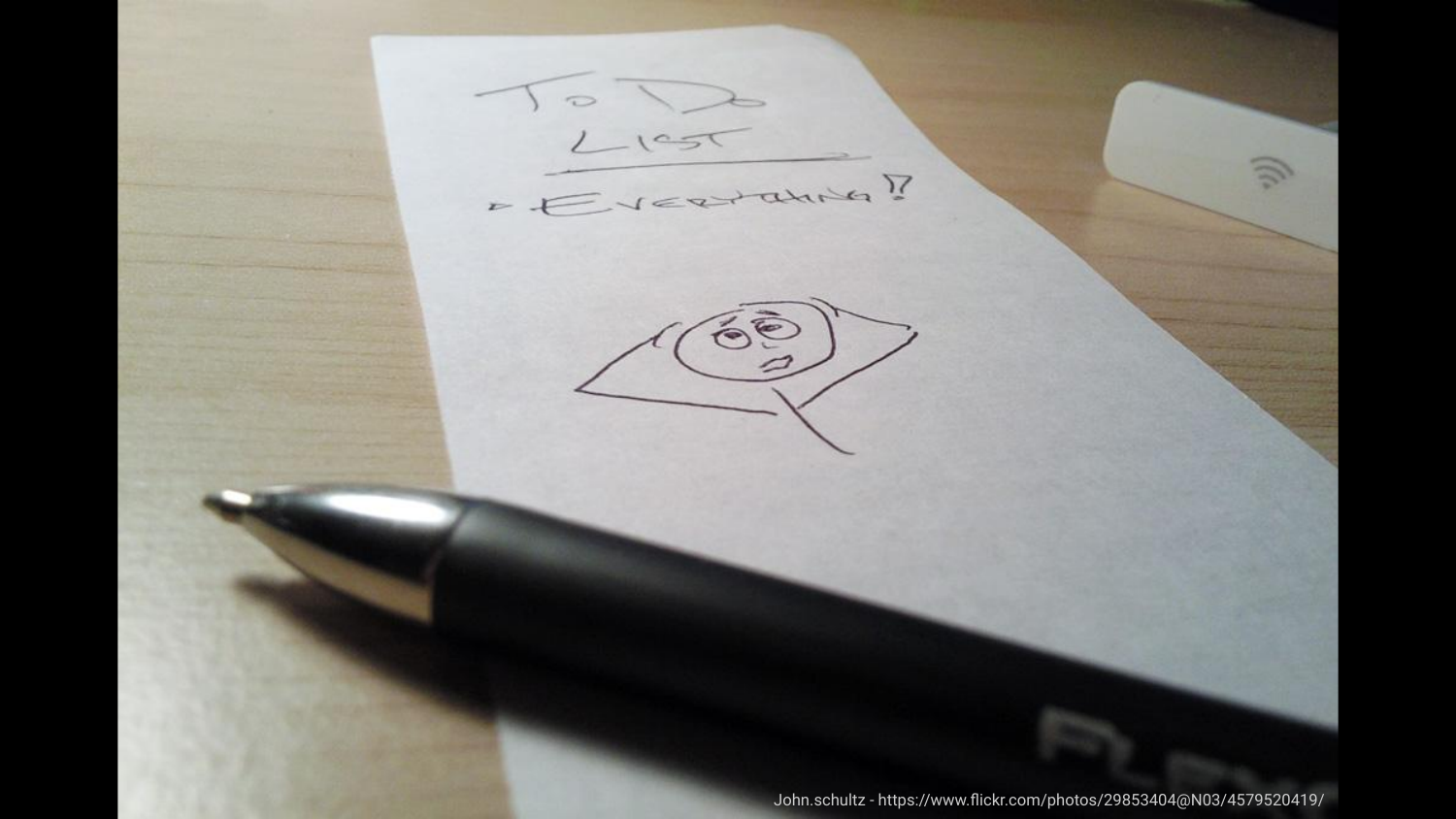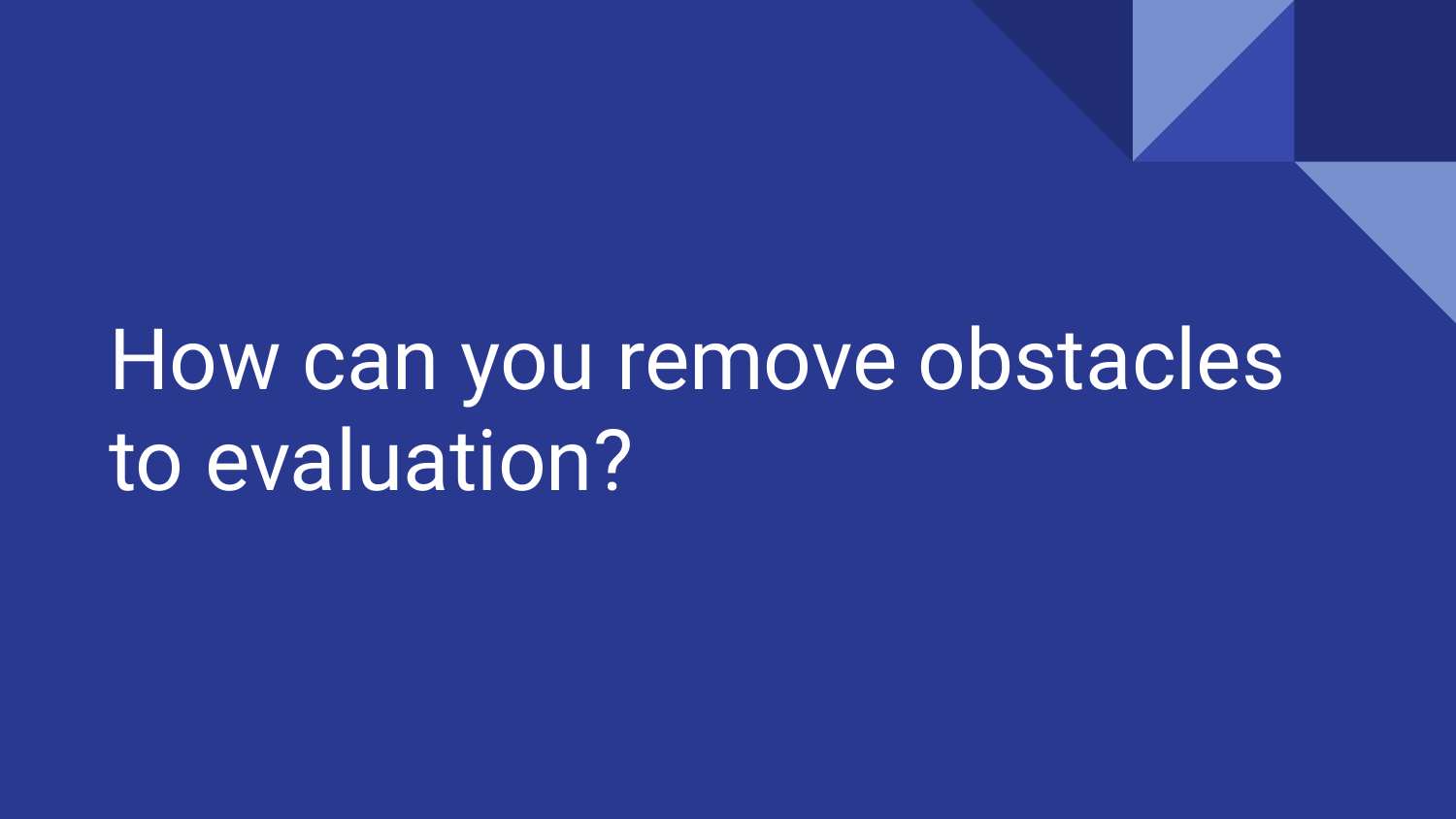## How can you remove obstacles to evaluation?